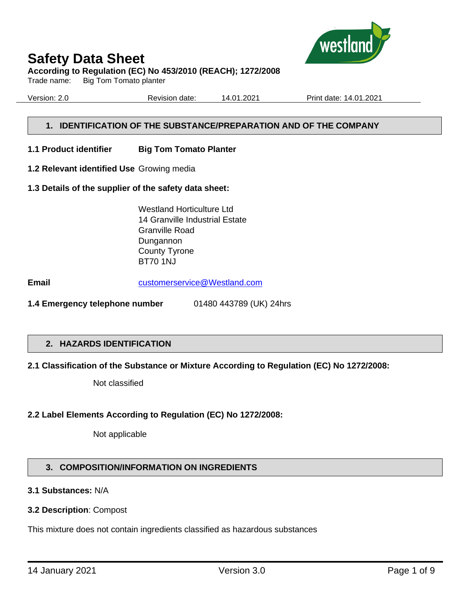

#### **According to Regulation (EC) No 453/2010 (REACH); 1272/2008**

Trade name: Big Tom Tomato planter

Version: 2.0 Revision date: 14.01.2021 Print date: 14.01.2021

# **1. IDENTIFICATION OF THE SUBSTANCE/PREPARATION AND OF THE COMPANY**

- **1.1 Product identifier Big Tom Tomato Planter**
- **1.2 Relevant identified Use** Growing media
- **1.3 Details of the supplier of the safety data sheet:**

Westland Horticulture Ltd 14 Granville Industrial Estate Granville Road Dungannon County Tyrone BT70 1NJ

**Email** [customerservice@Westland.com](mailto:customerservice@Westland.com)

**1.4 Emergency telephone number** 01480 443789 (UK) 24hrs

# **2. HAZARDS IDENTIFICATION**

## **2.1 Classification of the Substance or Mixture According to Regulation (EC) No 1272/2008:**

Not classified

## **2.2 Label Elements According to Regulation (EC) No 1272/2008:**

Not applicable

# **3. COMPOSITION/INFORMATION ON INGREDIENTS**

## **3.1 Substances:** N/A

#### **3.2 Description**: Compost

This mixture does not contain ingredients classified as hazardous substances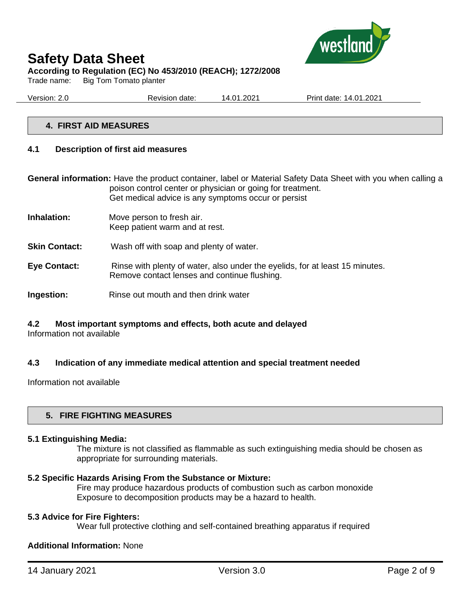

Trade name: Big Tom Tomato planter

Version: 2.0 Revision date: 14.01.2021 Print date: 14.01.2021

## **4. FIRST AID MEASURES**

#### **4.1 Description of first aid measures**

**General information:** Have the product container, label or Material Safety Data Sheet with you when calling a poison control center or physician or going for treatment. Get medical advice is any symptoms occur or persist

- **Inhalation:** Move person to fresh air. Keep patient warm and at rest.
- **Skin Contact:** Wash off with soap and plenty of water.
- **Eye Contact:** Rinse with plenty of water, also under the eyelids, for at least 15 minutes. Remove contact lenses and continue flushing.
- **Ingestion:** Rinse out mouth and then drink water

# **4.2 Most important symptoms and effects, both acute and delayed**

Information not available

## **4.3 Indication of any immediate medical attention and special treatment needed**

Information not available

## **5. FIRE FIGHTING MEASURES**

#### **5.1 Extinguishing Media:**

The mixture is not classified as flammable as such extinguishing media should be chosen as appropriate for surrounding materials.

#### **5.2 Specific Hazards Arising From the Substance or Mixture:**

Fire may produce hazardous products of combustion such as carbon monoxide Exposure to decomposition products may be a hazard to health.

#### **5.3 Advice for Fire Fighters:**

Wear full protective clothing and self-contained breathing apparatus if required

#### **Additional Information:** None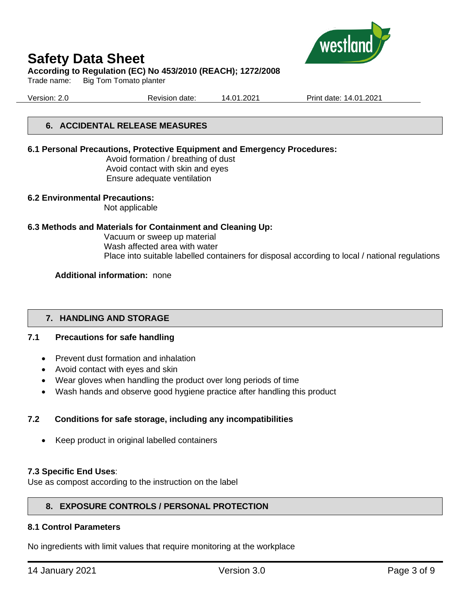

#### **According to Regulation (EC) No 453/2010 (REACH); 1272/2008**

Trade name: Big Tom Tomato planter

Version: 2.0 Revision date: 14.01.2021 Print date: 14.01.2021

# **6. ACCIDENTAL RELEASE MEASURES**

#### **6.1 Personal Precautions, Protective Equipment and Emergency Procedures:**

Avoid formation / breathing of dust Avoid contact with skin and eyes Ensure adequate ventilation

#### **6.2 Environmental Precautions:**

Not applicable

#### **6.3 Methods and Materials for Containment and Cleaning Up:**

Vacuum or sweep up material Wash affected area with water Place into suitable labelled containers for disposal according to local / national regulations

#### **Additional information:** none

## **7. HANDLING AND STORAGE**

## **7.1 Precautions for safe handling**

- Prevent dust formation and inhalation
- Avoid contact with eyes and skin
- Wear gloves when handling the product over long periods of time
- Wash hands and observe good hygiene practice after handling this product

## **7.2 Conditions for safe storage, including any incompatibilities**

• Keep product in original labelled containers

#### **7.3 Specific End Uses**:

Use as compost according to the instruction on the label

## **8. EXPOSURE CONTROLS / PERSONAL PROTECTION**

#### **8.1 Control Parameters**

No ingredients with limit values that require monitoring at the workplace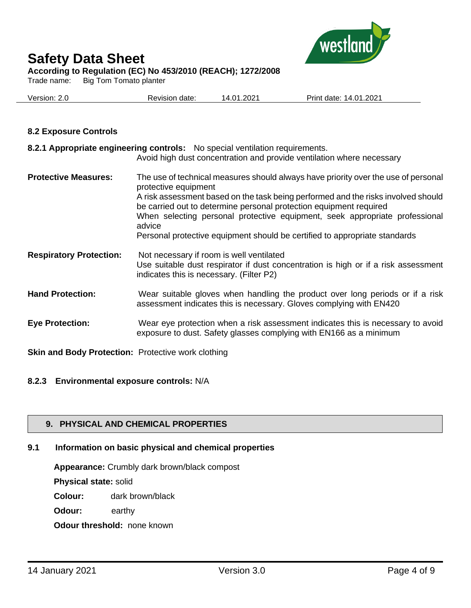

Trade name: Big Tom Tomato planter

| Version: 2.0 | Revision date: | 14.01.2021 | Print date: 14.01.2021 |
|--------------|----------------|------------|------------------------|
|              |                |            |                        |

#### **8.2 Exposure Controls**

|                                | 8.2.1 Appropriate engineering controls: No special ventilation requirements.<br>Avoid high dust concentration and provide ventilation where necessary                                                                                                                                                                                                                                                                                        |
|--------------------------------|----------------------------------------------------------------------------------------------------------------------------------------------------------------------------------------------------------------------------------------------------------------------------------------------------------------------------------------------------------------------------------------------------------------------------------------------|
| <b>Protective Measures:</b>    | The use of technical measures should always have priority over the use of personal<br>protective equipment<br>A risk assessment based on the task being performed and the risks involved should<br>be carried out to determine personal protection equipment required<br>When selecting personal protective equipment, seek appropriate professional<br>advice<br>Personal protective equipment should be certified to appropriate standards |
| <b>Respiratory Protection:</b> | Not necessary if room is well ventilated<br>Use suitable dust respirator if dust concentration is high or if a risk assessment<br>indicates this is necessary. (Filter P2)                                                                                                                                                                                                                                                                   |
| <b>Hand Protection:</b>        | Wear suitable gloves when handling the product over long periods or if a risk<br>assessment indicates this is necessary. Gloves complying with EN420                                                                                                                                                                                                                                                                                         |
| <b>Eye Protection:</b>         | Wear eye protection when a risk assessment indicates this is necessary to avoid<br>exposure to dust. Safety glasses complying with EN166 as a minimum                                                                                                                                                                                                                                                                                        |

**Skin and Body Protection:** Protective work clothing

#### **8.2.3 Environmental exposure controls:** N/A

## **9. PHYSICAL AND CHEMICAL PROPERTIES**

# **9.1 Information on basic physical and chemical properties**

**Appearance:** Crumbly dark brown/black compost

**Physical state:** solid

**Colour:** dark brown/black

**Odour:** earthy

**Odour threshold:** none known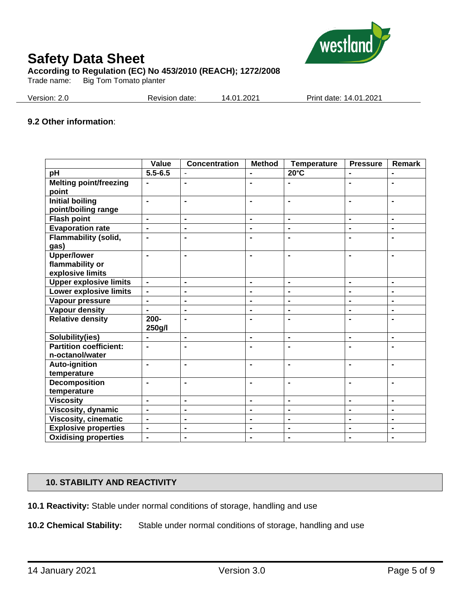

Trade name: Big Tom Tomato planter

| Version: 2.0<br>Print date: 14.01.2021<br>14.01.2021<br>Revision date: |
|------------------------------------------------------------------------|
|------------------------------------------------------------------------|

#### **9.2 Other information**:

|                                        | Value                        | <b>Concentration</b> | <b>Method</b>  | <b>Temperature</b>       | <b>Pressure</b> | Remark         |
|----------------------------------------|------------------------------|----------------------|----------------|--------------------------|-----------------|----------------|
| pH                                     | $5.5 - 6.5$                  |                      |                | $20^{\circ}$ C           | $\blacksquare$  |                |
| <b>Melting point/freezing</b><br>point | $\blacksquare$               | $\blacksquare$       | $\blacksquare$ | $\blacksquare$           | $\blacksquare$  | $\blacksquare$ |
| <b>Initial boiling</b>                 | ä,                           | $\blacksquare$       | $\blacksquare$ | $\blacksquare$           | $\blacksquare$  | $\blacksquare$ |
|                                        |                              |                      |                |                          |                 |                |
| point/boiling range                    |                              |                      |                |                          |                 |                |
| <b>Flash point</b>                     | ä,                           | $\blacksquare$       | $\blacksquare$ | $\blacksquare$           | $\blacksquare$  | $\blacksquare$ |
| <b>Evaporation rate</b>                | $\qquad \qquad \blacksquare$ | $\blacksquare$       | $\blacksquare$ | $\blacksquare$           | ۰               | $\blacksquare$ |
| Flammability (solid,                   |                              | $\blacksquare$       | $\blacksquare$ | $\blacksquare$           |                 |                |
| gas)                                   |                              |                      |                |                          |                 |                |
| <b>Upper/lower</b>                     | $\blacksquare$               | $\blacksquare$       | $\blacksquare$ | $\blacksquare$           | $\blacksquare$  | $\blacksquare$ |
| flammability or                        |                              |                      |                |                          |                 |                |
| explosive limits                       |                              |                      |                |                          |                 |                |
| <b>Upper explosive limits</b>          | $\qquad \qquad \blacksquare$ | $\blacksquare$       | $\blacksquare$ | $\blacksquare$           | $\blacksquare$  | $\blacksquare$ |
| <b>Lower explosive limits</b>          | $\blacksquare$               | $\blacksquare$       | $\blacksquare$ | $\overline{\phantom{a}}$ | $\blacksquare$  | $\blacksquare$ |
| Vapour pressure                        | $\qquad \qquad \blacksquare$ | $\blacksquare$       | $\blacksquare$ | $\blacksquare$           | $\blacksquare$  | $\blacksquare$ |
| <b>Vapour density</b>                  | $\blacksquare$               | $\blacksquare$       | $\blacksquare$ | $\blacksquare$           | $\blacksquare$  | $\blacksquare$ |
| <b>Relative density</b>                | $200 -$                      | $\blacksquare$       | $\blacksquare$ | $\blacksquare$           | -               | $\blacksquare$ |
|                                        | 250g/l                       |                      |                |                          |                 |                |
| Solubility(ies)                        | ۰                            | $\blacksquare$       | $\blacksquare$ | $\blacksquare$           | $\blacksquare$  | $\blacksquare$ |
| <b>Partition coefficient:</b>          | $\blacksquare$               | $\blacksquare$       | $\blacksquare$ | $\blacksquare$           | $\blacksquare$  | $\blacksquare$ |
| n-octanol/water                        |                              |                      |                |                          |                 |                |
| Auto-ignition                          | $\blacksquare$               | $\blacksquare$       | $\blacksquare$ | $\blacksquare$           | $\blacksquare$  | $\blacksquare$ |
| temperature                            |                              |                      |                |                          |                 |                |
| Decomposition                          | $\blacksquare$               | $\blacksquare$       | $\blacksquare$ | $\blacksquare$           | $\blacksquare$  | $\blacksquare$ |
| temperature                            |                              |                      |                |                          |                 |                |
| <b>Viscosity</b>                       | $\blacksquare$               | $\blacksquare$       | $\blacksquare$ | $\blacksquare$           | $\blacksquare$  | $\blacksquare$ |
| Viscosity, dynamic                     | $\overline{\phantom{0}}$     | $\blacksquare$       | $\blacksquare$ | $\blacksquare$           | $\blacksquare$  | $\blacksquare$ |
| <b>Viscosity, cinematic</b>            | $\overline{\phantom{0}}$     | $\blacksquare$       | $\blacksquare$ | $\blacksquare$           | $\blacksquare$  | $\blacksquare$ |
| <b>Explosive properties</b>            | $\blacksquare$               | $\blacksquare$       | $\blacksquare$ | $\blacksquare$           | $\blacksquare$  | $\blacksquare$ |
| <b>Oxidising properties</b>            | $\qquad \qquad \blacksquare$ | $\blacksquare$       | $\blacksquare$ | $\blacksquare$           | $\blacksquare$  | $\blacksquare$ |

#### **10. STABILITY AND REACTIVITY**

**10.1 Reactivity:** Stable under normal conditions of storage, handling and use

**10.2 Chemical Stability:** Stable under normal conditions of storage, handling and use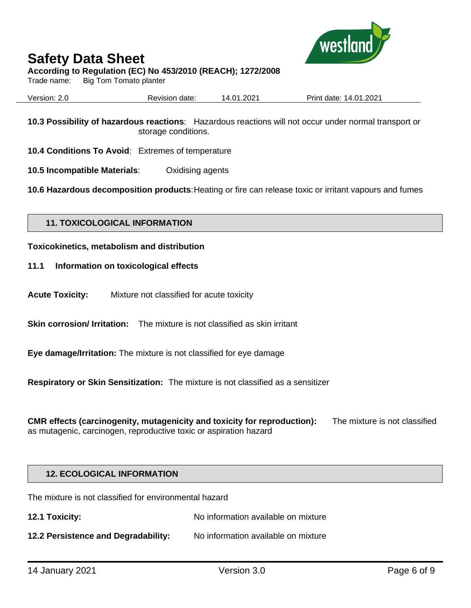

## **According to Regulation (EC) No 453/2010 (REACH); 1272/2008**

Trade name: Big Tom Tomato planter

| Version: 2.0 | Revision date: | 14.01.2021 | Print date: 14.01.2021 |
|--------------|----------------|------------|------------------------|
|              |                |            |                        |

**10.3 Possibility of hazardous reactions**: Hazardous reactions will not occur under normal transport or storage conditions.

**10.4 Conditions To Avoid**: Extremes of temperature

**10.5 Incompatible Materials**: Oxidising agents

**10.6 Hazardous decomposition products**:Heating or fire can release toxic or irritant vapours and fumes

#### **11. TOXICOLOGICAL INFORMATION**

#### **Toxicokinetics, metabolism and distribution**

- **11.1 Information on toxicological effects**
- **Acute Toxicity:** Mixture not classified for acute toxicity

**Skin corrosion/ Irritation:** The mixture is not classified as skin irritant

**Eye damage/Irritation:** The mixture is not classified for eye damage

**Respiratory or Skin Sensitization:** The mixture is not classified as a sensitizer

**CMR effects (carcinogenity, mutagenicity and toxicity for reproduction):** The mixture is not classified as mutagenic, carcinogen, reproductive toxic or aspiration hazard

#### **12. ECOLOGICAL INFORMATION**

The mixture is not classified for environmental hazard

**12.1 Toxicity:** No information available on mixture

**12.2 Persistence and Degradability:** No information available on mixture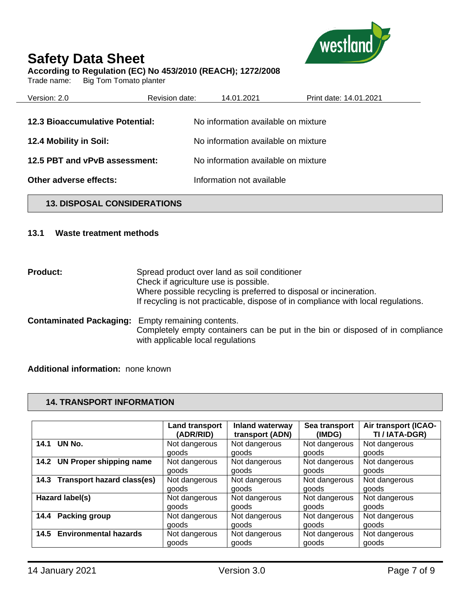

#### **According to Regulation (EC) No 453/2010 (REACH); 1272/2008**

Trade name: Big Tom Tomato planter

| Version: 2.0                           | Revision date: | 14.01.2021                          | Print date: 14.01.2021 |  |
|----------------------------------------|----------------|-------------------------------------|------------------------|--|
| <b>12.3 Bioaccumulative Potential:</b> |                | No information available on mixture |                        |  |
| 12.4 Mobility in Soil:                 |                | No information available on mixture |                        |  |
| 12.5 PBT and vPvB assessment:          |                | No information available on mixture |                        |  |
| Other adverse effects:                 |                | Information not available           |                        |  |

# **13. DISPOSAL CONSIDERATIONS**

#### **13.1 Waste treatment methods**

**Product:** Spread product over land as soil conditioner Check if agriculture use is possible. Where possible recycling is preferred to disposal or incineration. If recycling is not practicable, dispose of in compliance with local regulations.

**Contaminated Packaging:** Empty remaining contents. Completely empty containers can be put in the bin or disposed of in compliance with applicable local regulations

**Additional information:** none known

## **14. TRANSPORT INFORMATION**

|                                        | <b>Land transport</b> | Inland waterway | Sea transport | Air transport (ICAO- |
|----------------------------------------|-----------------------|-----------------|---------------|----------------------|
|                                        | (ADR/RID)             | transport (ADN) | (IMDG)        | TI / IATA-DGR)       |
| UN No.<br>14.1                         | Not dangerous         | Not dangerous   | Not dangerous | Not dangerous        |
|                                        | goods                 | goods           | goods         | goods                |
| <b>UN Proper shipping name</b><br>14.2 | Not dangerous         | Not dangerous   | Not dangerous | Not dangerous        |
|                                        | goods                 | goods           | goods         | goods                |
| 14.3 Transport hazard class(es)        | Not dangerous         | Not dangerous   | Not dangerous | Not dangerous        |
|                                        | goods                 | goods           | goods         | goods                |
| Hazard label(s)                        | Not dangerous         | Not dangerous   | Not dangerous | Not dangerous        |
|                                        | goods                 | goods           | goods         | goods                |
| Packing group<br>14.4                  | Not dangerous         | Not dangerous   | Not dangerous | Not dangerous        |
|                                        | goods                 | goods           | goods         | goods                |
| <b>Environmental hazards</b><br>14.5   | Not dangerous         | Not dangerous   | Not dangerous | Not dangerous        |
|                                        | goods                 | goods           | goods         | goods                |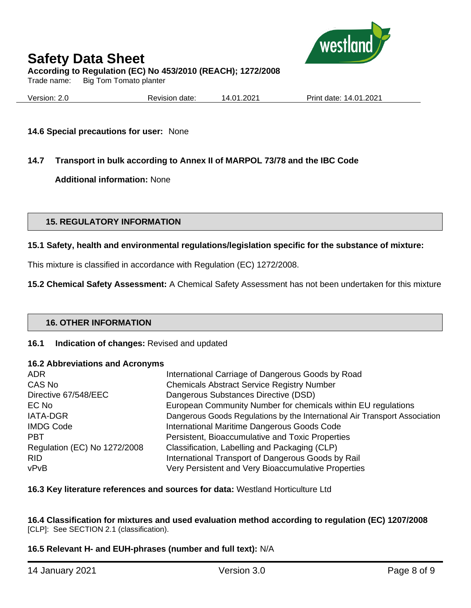

Trade name: Big Tom Tomato planter

Version: 2.0 Revision date: 14.01.2021 Print date: 14.01.2021

#### **14.6 Special precautions for user:** None

# **14.7 Transport in bulk according to Annex II of MARPOL 73/78 and the IBC Code**

**Additional information:** None

## **15. REGULATORY INFORMATION**

#### **15.1 Safety, health and environmental regulations/legislation specific for the substance of mixture:**

This mixture is classified in accordance with Regulation (EC) 1272/2008.

**15.2 Chemical Safety Assessment:** A Chemical Safety Assessment has not been undertaken for this mixture

#### **16. OTHER INFORMATION**

#### **16.1 Indication of changes:** Revised and updated

#### **16.2 Abbreviations and Acronyms**

| <b>ADR</b>                   | International Carriage of Dangerous Goods by Road                          |
|------------------------------|----------------------------------------------------------------------------|
| CAS No                       | <b>Chemicals Abstract Service Registry Number</b>                          |
| Directive 67/548/EEC         | Dangerous Substances Directive (DSD)                                       |
| EC No                        | European Community Number for chemicals within EU regulations              |
| <b>IATA-DGR</b>              | Dangerous Goods Regulations by the International Air Transport Association |
| <b>IMDG Code</b>             | International Maritime Dangerous Goods Code                                |
| <b>PBT</b>                   | Persistent, Bioaccumulative and Toxic Properties                           |
| Regulation (EC) No 1272/2008 | Classification, Labelling and Packaging (CLP)                              |
| <b>RID</b>                   | International Transport of Dangerous Goods by Rail                         |
| vPvB                         | Very Persistent and Very Bioaccumulative Properties                        |

#### **16.3 Key literature references and sources for data:** Westland Horticulture Ltd

#### **16.4 Classification for mixtures and used evaluation method according to regulation (EC) 1207/2008**  [CLP]: See SECTION 2.1 (classification).

## **16.5 Relevant H- and EUH-phrases (number and full text):** N/A